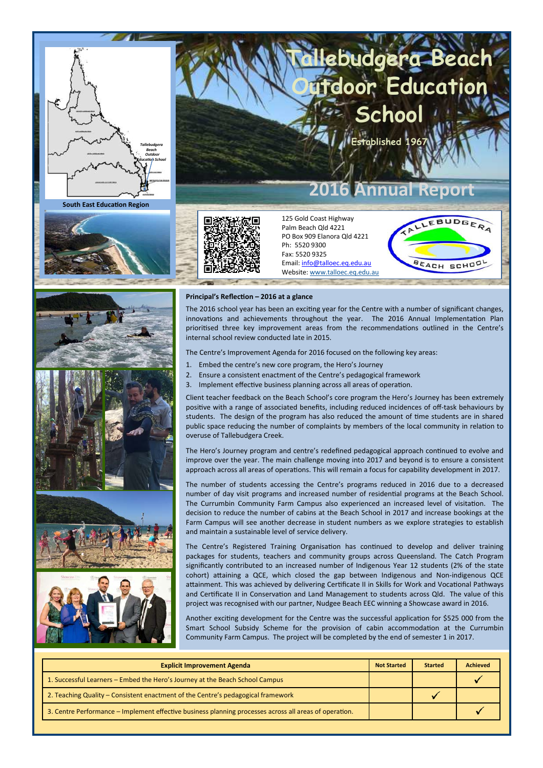

**South East Education Region** 







#### **Principal's Reflection – 2016 at a glance**

The 2016 school year has been an exciting year for the Centre with a number of significant changes, innovations and achievements throughout the year. The 2016 Annual Implementation Plan prioritised three key improvement areas from the recommendations outlined in the Centre's internal school review conducted late in 2015.

**Tallebudgera Beach** 

**School** 

**2016 Annual Report** 

**E** 

**Education** 

LEBUDGERA

**SCHO** 

BEACH

The Centre's Improvement Agenda for 2016 focused on the following key areas:

125 Gold Coast Highway Palm Beach Qld 4221 PO Box 909 Elanora Qld 4221

Email: info@talloec.eq.edu.au Website: www.talloec.eq.edu.au

Ph: 5520 9300 Fax: 5520 9325

- 1. Embed the centre's new core program, the Hero's Journey
- 2. Ensure a consistent enactment of the Centre's pedagogical framework
- 3. Implement effective business planning across all areas of operation.

Client teacher feedback on the Beach School's core program the Hero's Journey has been extremely positive with a range of associated benefits, including reduced incidences of off-task behaviours by students. The design of the program has also reduced the amount of time students are in shared public space reducing the number of complaints by members of the local community in relation to overuse of Tallebudgera Creek.

The Hero's Journey program and centre's redefined pedagogical approach continued to evolve and improve over the year. The main challenge moving into 2017 and beyond is to ensure a consistent approach across all areas of operations. This will remain a focus for capability development in 2017.

The number of students accessing the Centre's programs reduced in 2016 due to a decreased number of day visit programs and increased number of residential programs at the Beach School. The Currumbin Community Farm Campus also experienced an increased level of visitation. The decision to reduce the number of cabins at the Beach School in 2017 and increase bookings at the Farm Campus will see another decrease in student numbers as we explore strategies to establish and maintain a sustainable level of service delivery.

The Centre's Registered Training Organisation has continued to develop and deliver training packages for students, teachers and community groups across Queensland. The Catch Program significantly contributed to an increased number of Indigenous Year 12 students (2% of the state cohort) attaining a QCE, which closed the gap between Indigenous and Non-indigenous QCE attainment. This was achieved by delivering Certificate II in Skills for Work and Vocational Pathways and Certificate II in Conservation and Land Management to students across Qld. The value of this project was recognised with our partner, Nudgee Beach EEC winning a Showcase award in 2016.

Another exciting development for the Centre was the successful application for \$525 000 from the Smart School Subsidy Scheme for the provision of cabin accommodation at the Currumbin Community Farm Campus. The project will be completed by the end of semester 1 in 2017.

| <b>Explicit Improvement Agenda</b>                                                                     | <b>Not Started</b> | <b>Started</b> | <b>Achieved</b> |
|--------------------------------------------------------------------------------------------------------|--------------------|----------------|-----------------|
| 1. Successful Learners – Embed the Hero's Journey at the Beach School Campus                           |                    |                |                 |
| 2. Teaching Quality – Consistent enactment of the Centre's pedagogical framework                       |                    |                |                 |
| 3. Centre Performance – Implement effective business planning processes across all areas of operation. |                    |                |                 |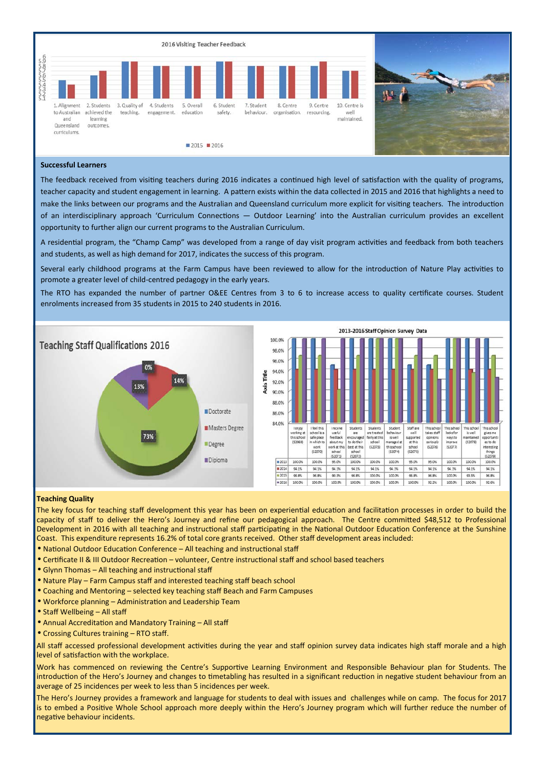



## **Successful Learners**

The feedback received from visiting teachers during 2016 indicates a continued high level of satisfaction with the quality of programs, teacher capacity and student engagement in learning. A pattern exists within the data collected in 2015 and 2016 that highlights a need to make the links between our programs and the Australian and Queensland curriculum more explicit for visiting teachers. The introduction of an interdisciplinary approach 'Curriculum Connections — Outdoor Learning' into the Australian curriculum provides an excellent opportunity to further align our current programs to the Australian Curriculum.

A residential program, the "Champ Camp" was developed from a range of day visit program activities and feedback from both teachers and students, as well as high demand for 2017, indicates the success of this program.

Several early childhood programs at the Farm Campus have been reviewed to allow for the introduction of Nature Play activities to promote a greater level of child-centred pedagogy in the early years.

The RTO has expanded the number of partner O&EE Centres from 3 to 6 to increase access to quality certificate courses. Student enrolments increased from 35 students in 2015 to 240 students in 2016.





### **Teaching Quality**

The key focus for teaching staff development this year has been on experiential education and facilitation processes in order to build the capacity of staff to deliver the Hero's Journey and refine our pedagogical approach. The Centre committed \$48,512 to Professional Development in 2016 with all teaching and instructional staff participating in the National Outdoor Education Conference at the Sunshine Coast. This expenditure represents 16.2% of total core grants received. Other staff development areas included:

- National Outdoor Education Conference All teaching and instructional staff
- Certificate II & III Outdoor Recreation volunteer, Centre instructional staff and school based teachers
- Glynn Thomas All teaching and instructional staff
- Nature Play Farm Campus staff and interested teaching staff beach school
- Coaching and Mentoring selected key teaching staff Beach and Farm Campuses
- Workforce planning Administration and Leadership Team
- Staff Wellbeing All staff
- Annual Accreditation and Mandatory Training All staff
- Crossing Cultures training RTO staff.

All staff accessed professional development activities during the year and staff opinion survey data indicates high staff morale and a high level of satisfaction with the workplace.

Work has commenced on reviewing the Centre's Supportive Learning Environment and Responsible Behaviour plan for Students. The introduction of the Hero's Journey and changes to timetabling has resulted in a significant reduction in negative student behaviour from an average of 25 incidences per week to less than 5 incidences per week.

The Hero's Journey provides a framework and language for students to deal with issues and challenges while on camp. The focus for 2017 is to embed a Positive Whole School approach more deeply within the Hero's Journey program which will further reduce the number of negative behaviour incidents.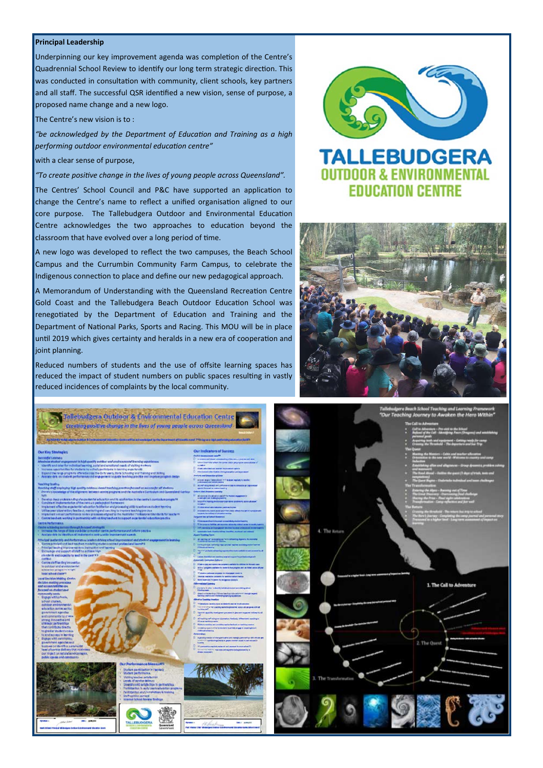### **Principal Leadership**

Underpinning our key improvement agenda was completion of the Centre's Quadrennial School Review to identify our long term strategic direction. This was conducted in consultation with community, client schools, key partners and all staff. The successful QSR identified a new vision, sense of purpose, a proposed name change and a new logo.

The Centre's new vision is to :

*"be acknowledged by the Department of Education and Training as a high performing outdoor environmental education centre*"

with a clear sense of purpose,

"To create positive change in the lives of young people across Queensland".

The Centres' School Council and P&C have supported an application to change the Centre's name to reflect a unified organisation aligned to our core purpose. The Tallebudgera Outdoor and Environmental Education Centre acknowledges the two approaches to education beyond the  $\alpha$  classroom that have evolved over a long period of time.

A new logo was developed to reflect the two campuses, the Beach School Campus and the Currumbin Community Farm Campus, to celebrate the Indigenous connection to place and define our new pedagogical approach.

A Memorandum of Understanding with the Queensland Recreation Centre Gold Coast and the Tallebudgera Beach Outdoor Education School was renegotiated by the Department of Education and Training and the Department of National Parks, Sports and Racing. This MOU will be in place until 2019 which gives certainty and heralds in a new era of cooperation and joint planning.

Reduced numbers of students and the use of offsite learning spaces has reduced the impact of student numbers on public spaces resulting in vastly reduced incidences of complaints by the local community.